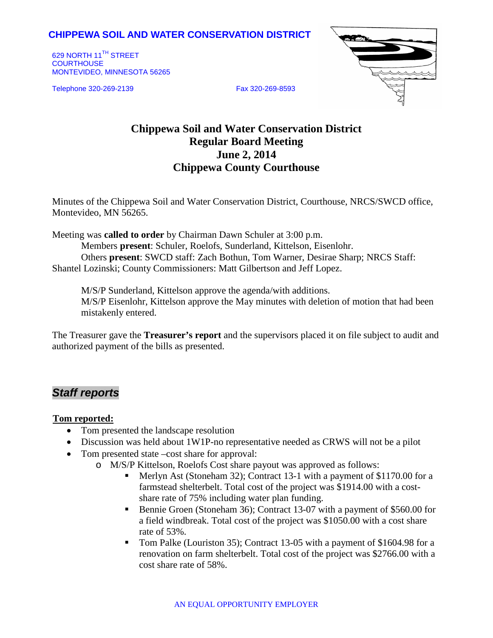#### **CHIPPEWA SOIL AND WATER CONSERVATION DISTRICT**

629 NORTH 11<sup>TH</sup> STREET **COURTHOUSE** MONTEVIDEO, MINNESOTA 56265

Telephone 320-269-2139 Fax 320-269-8593



# **Chippewa Soil and Water Conservation District Regular Board Meeting June 2, 2014 Chippewa County Courthouse**

Minutes of the Chippewa Soil and Water Conservation District, Courthouse, NRCS/SWCD office, Montevideo, MN 56265.

Meeting was **called to order** by Chairman Dawn Schuler at 3:00 p.m. Members **present**: Schuler, Roelofs, Sunderland, Kittelson, Eisenlohr. Others **present**: SWCD staff: Zach Bothun, Tom Warner, Desirae Sharp; NRCS Staff:

Shantel Lozinski; County Commissioners: Matt Gilbertson and Jeff Lopez.

M/S/P Sunderland, Kittelson approve the agenda/with additions. M/S/P Eisenlohr, Kittelson approve the May minutes with deletion of motion that had been mistakenly entered.

The Treasurer gave the **Treasurer's report** and the supervisors placed it on file subject to audit and authorized payment of the bills as presented.

## *Staff reports*

#### <sup>U</sup>**Tom reported:**

- Tom presented the landscape resolution
- Discussion was held about 1W1P-no representative needed as CRWS will not be a pilot
- Tom presented state –cost share for approval:
	- o M/S/P Kittelson, Roelofs Cost share payout was approved as follows:
		- Merlyn Ast (Stoneham 32); Contract 13-1 with a payment of \$1170.00 for a farmstead shelterbelt. Total cost of the project was \$1914.00 with a costshare rate of 75% including water plan funding.
		- Bennie Groen (Stoneham 36); Contract 13-07 with a payment of \$560.00 for a field windbreak. Total cost of the project was \$1050.00 with a cost share rate of 53%.
		- Tom Palke (Louriston 35); Contract 13-05 with a payment of \$1604.98 for a renovation on farm shelterbelt. Total cost of the project was \$2766.00 with a cost share rate of 58%.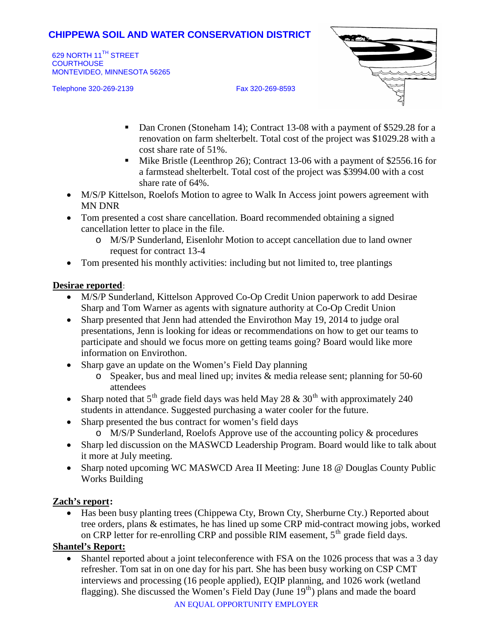## **CHIPPEWA SOIL AND WATER CONSERVATION DISTRICT**

629 NORTH 11<sup>TH</sup> STREET **COURTHOUSE** MONTEVIDEO, MINNESOTA 56265

Telephone 320-269-2139 Fax 320-269-8593



- Dan Cronen (Stoneham 14); Contract 13-08 with a payment of \$529.28 for a renovation on farm shelterbelt. Total cost of the project was \$1029.28 with a cost share rate of 51%.
- Mike Bristle (Leenthrop 26); Contract 13-06 with a payment of \$2556.16 for a farmstead shelterbelt. Total cost of the project was \$3994.00 with a cost share rate of 64%.
- M/S/P Kittelson, Roelofs Motion to agree to Walk In Access joint powers agreement with MN DNR
- Tom presented a cost share cancellation. Board recommended obtaining a signed cancellation letter to place in the file.
	- o M/S/P Sunderland, Eisenlohr Motion to accept cancellation due to land owner request for contract 13-4
- Tom presented his monthly activities: including but not limited to, tree plantings

#### **Desirae reported**:

- M/S/P Sunderland, Kittelson Approved Co-Op Credit Union paperwork to add Desirae Sharp and Tom Warner as agents with signature authority at Co-Op Credit Union
- Sharp presented that Jenn had attended the Envirothon May 19, 2014 to judge oral presentations, Jenn is looking for ideas or recommendations on how to get our teams to participate and should we focus more on getting teams going? Board would like more information on Envirothon.
- Sharp gave an update on the Women's Field Day planning
	- o Speaker, bus and meal lined up; invites & media release sent; planning for 50-60 attendees
- Sharp noted that  $5<sup>th</sup>$  grade field days was held May 28 & 30<sup>th</sup> with approximately 240 students in attendance. Suggested purchasing a water cooler for the future.
- Sharp presented the bus contract for women's field days
	- o M/S/P Sunderland, Roelofs Approve use of the accounting policy & procedures
- Sharp led discussion on the MASWCD Leadership Program. Board would like to talk about it more at July meeting.
- Sharp noted upcoming WC MASWCD Area II Meeting: June 18 @ Douglas County Public Works Building

## **Zach's report:**

• Has been busy planting trees (Chippewa Cty, Brown Cty, Sherburne Cty.) Reported about tree orders, plans & estimates, he has lined up some CRP mid-contract mowing jobs, worked on CRP letter for re-enrolling CRP and possible RIM easement,  $5<sup>th</sup>$  grade field days.

## **Shantel's Report:**

• Shantel reported about a joint teleconference with FSA on the 1026 process that was a 3 day refresher. Tom sat in on one day for his part. She has been busy working on CSP CMT interviews and processing (16 people applied), EQIP planning, and 1026 work (wetland flagging). She discussed the Women's Field Day (June 19<sup>th</sup>) plans and made the board